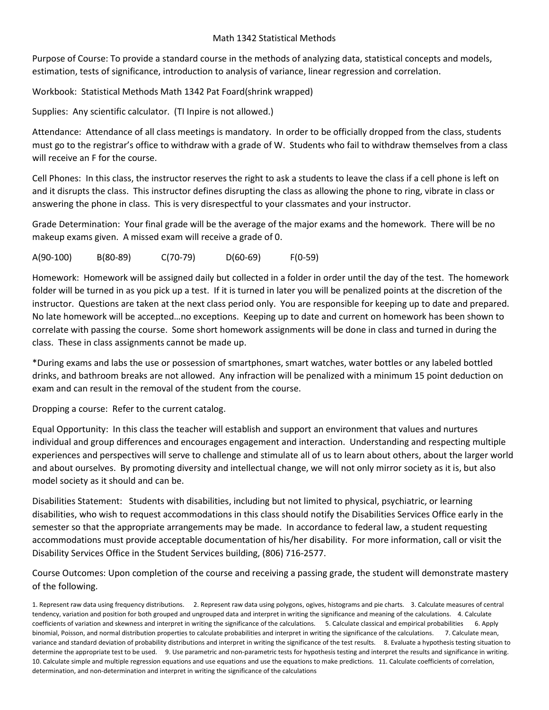## Math 1342 Statistical Methods

Purpose of Course: To provide a standard course in the methods of analyzing data, statistical concepts and models, estimation, tests of significance, introduction to analysis of variance, linear regression and correlation.

Workbook: Statistical Methods Math 1342 Pat Foard(shrink wrapped)

Supplies: Any scientific calculator. (TI Inpire is not allowed.)

Attendance: Attendance of all class meetings is mandatory. In order to be officially dropped from the class, students must go to the registrar's office to withdraw with a grade of W. Students who fail to withdraw themselves from a class will receive an F for the course.

Cell Phones: In this class, the instructor reserves the right to ask a students to leave the class if a cell phone is left on and it disrupts the class. This instructor defines disrupting the class as allowing the phone to ring, vibrate in class or answering the phone in class. This is very disrespectful to your classmates and your instructor.

Grade Determination: Your final grade will be the average of the major exams and the homework. There will be no makeup exams given. A missed exam will receive a grade of 0.

A(90-100) B(80-89) C(70-79) D(60-69) F(0-59)

Homework: Homework will be assigned daily but collected in a folder in order until the day of the test. The homework folder will be turned in as you pick up a test. If it is turned in later you will be penalized points at the discretion of the instructor. Questions are taken at the next class period only. You are responsible for keeping up to date and prepared. No late homework will be accepted…no exceptions. Keeping up to date and current on homework has been shown to correlate with passing the course. Some short homework assignments will be done in class and turned in during the class. These in class assignments cannot be made up.

\*During exams and labs the use or possession of smartphones, smart watches, water bottles or any labeled bottled drinks, and bathroom breaks are not allowed. Any infraction will be penalized with a minimum 15 point deduction on exam and can result in the removal of the student from the course.

Dropping a course: Refer to the current catalog.

Equal Opportunity: In this class the teacher will establish and support an environment that values and nurtures individual and group differences and encourages engagement and interaction. Understanding and respecting multiple experiences and perspectives will serve to challenge and stimulate all of us to learn about others, about the larger world and about ourselves. By promoting diversity and intellectual change, we will not only mirror society as it is, but also model society as it should and can be.

Disabilities Statement: Students with disabilities, including but not limited to physical, psychiatric, or learning disabilities, who wish to request accommodations in this class should notify the Disabilities Services Office early in the semester so that the appropriate arrangements may be made. In accordance to federal law, a student requesting accommodations must provide acceptable documentation of his/her disability. For more information, call or visit the Disability Services Office in the Student Services building, (806) 716-2577.

Course Outcomes: Upon completion of the course and receiving a passing grade, the student will demonstrate mastery of the following.

<sup>1.</sup> Represent raw data using frequency distributions. 2. Represent raw data using polygons, ogives, histograms and pie charts. 3. Calculate measures of central tendency, variation and position for both grouped and ungrouped data and interpret in writing the significance and meaning of the calculations. 4. Calculate coefficients of variation and skewness and interpret in writing the significance of the calculations. 5. Calculate classical and empirical probabilities 6. Apply binomial, Poisson, and normal distribution properties to calculate probabilities and interpret in writing the significance of the calculations. 7. Calculate mean, variance and standard deviation of probability distributions and interpret in writing the significance of the test results. 8. Evaluate a hypothesis testing situation to determine the appropriate test to be used. 9. Use parametric and non-parametric tests for hypothesis testing and interpret the results and significance in writing. 10. Calculate simple and multiple regression equations and use equations and use the equations to make predictions. 11. Calculate coefficients of correlation, determination, and non-determination and interpret in writing the significance of the calculations